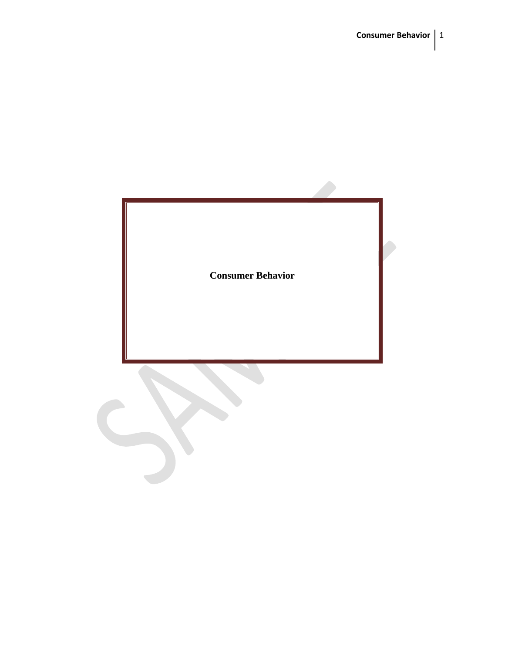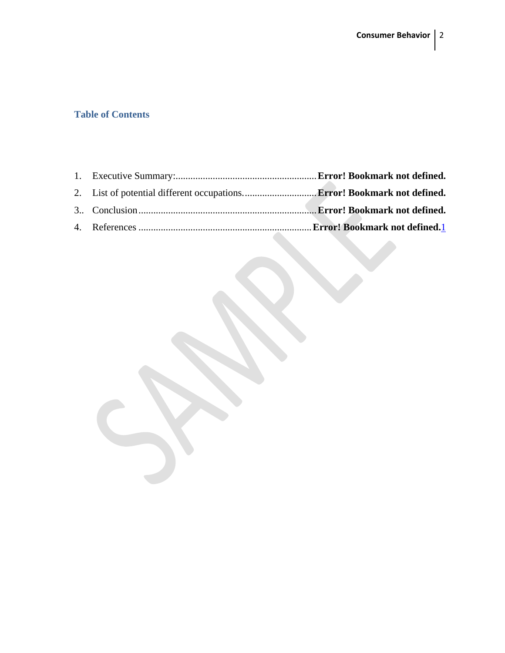## **Table of Contents**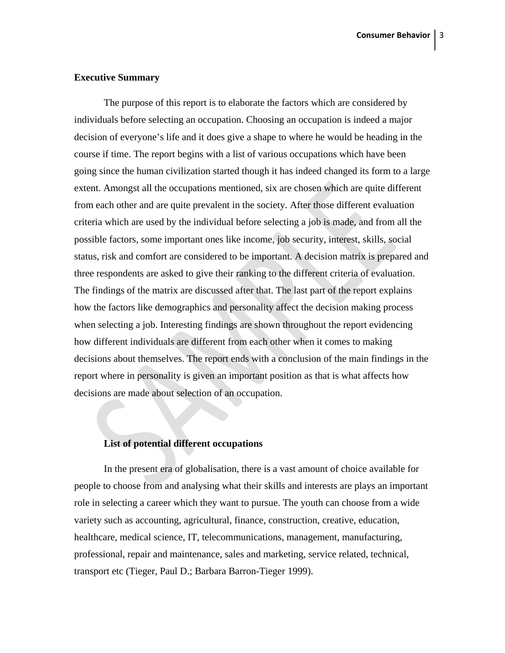#### **Executive Summary**

The purpose of this report is to elaborate the factors which are considered by individuals before selecting an occupation. Choosing an occupation is indeed a major decision of everyone's life and it does give a shape to where he would be heading in the course if time. The report begins with a list of various occupations which have been going since the human civilization started though it has indeed changed its form to a large extent. Amongst all the occupations mentioned, six are chosen which are quite different from each other and are quite prevalent in the society. After those different evaluation criteria which are used by the individual before selecting a job is made, and from all the possible factors, some important ones like income, job security, interest, skills, social status, risk and comfort are considered to be important. A decision matrix is prepared and three respondents are asked to give their ranking to the different criteria of evaluation. The findings of the matrix are discussed after that. The last part of the report explains how the factors like demographics and personality affect the decision making process when selecting a job. Interesting findings are shown throughout the report evidencing how different individuals are different from each other when it comes to making decisions about themselves. The report ends with a conclusion of the main findings in the report where in personality is given an important position as that is what affects how decisions are made about selection of an occupation.

## **List of potential different occupations**

In the present era of globalisation, there is a vast amount of choice available for people to choose from and analysing what their skills and interests are plays an important role in selecting a career which they want to pursue. The youth can choose from a wide variety such as accounting, agricultural, finance, construction, creative, education, healthcare, medical science, IT, telecommunications, management, manufacturing, professional, repair and maintenance, sales and marketing, service related, technical, transport etc (Tieger, Paul D.; Barbara Barron-Tieger 1999).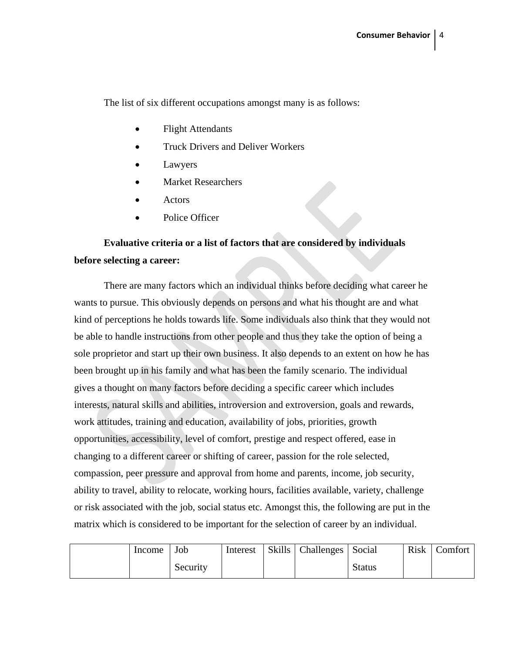The list of six different occupations amongst many is as follows:

- Flight Attendants
- Truck Drivers and Deliver Workers
- **Lawyers**
- Market Researchers
- **Actors**
- Police Officer

# **Evaluative criteria or a list of factors that are considered by individuals before selecting a career:**

There are many factors which an individual thinks before deciding what career he wants to pursue. This obviously depends on persons and what his thought are and what kind of perceptions he holds towards life. Some individuals also think that they would not be able to handle instructions from other people and thus they take the option of being a sole proprietor and start up their own business. It also depends to an extent on how he has been brought up in his family and what has been the family scenario. The individual gives a thought on many factors before deciding a specific career which includes interests, natural skills and abilities, introversion and extroversion, goals and rewards, work attitudes, training and education, availability of jobs, priorities, growth opportunities, accessibility, level of comfort, prestige and respect offered, ease in changing to a different career or shifting of career, passion for the role selected, compassion, peer pressure and approval from home and parents, income, job security, ability to travel, ability to relocate, working hours, facilities available, variety, challenge or risk associated with the job, social status etc. Amongst this, the following are put in the matrix which is considered to be important for the selection of career by an individual.

| Income | Job      | Interest | Skills   Challenges   Social |               | <b>Risk</b> | Comfort |
|--------|----------|----------|------------------------------|---------------|-------------|---------|
|        | Security |          |                              | <b>Status</b> |             |         |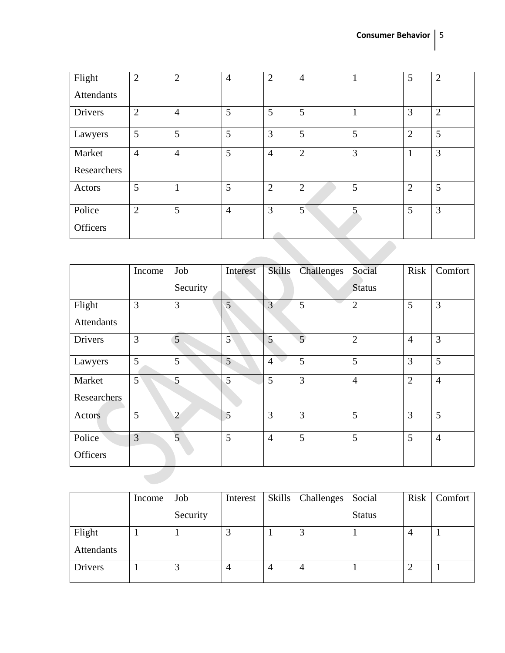| Flight            | $\overline{2}$ | $\overline{2}$ | $\overline{4}$ | $\overline{2}$ | $\overline{4}$ | $\mathbf{1}$ | 5              | $\overline{2}$ |  |
|-------------------|----------------|----------------|----------------|----------------|----------------|--------------|----------------|----------------|--|
| <b>Attendants</b> |                |                |                |                |                |              |                |                |  |
| <b>Drivers</b>    | $\overline{2}$ | $\overline{4}$ | 5              | 5              | 5              | $\mathbf{1}$ | 3              | $\overline{2}$ |  |
| Lawyers           | 5              | 5              | 5              | 3              | 5              | 5            | $\overline{2}$ | 5              |  |
| Market            | $\overline{4}$ | $\overline{4}$ | 5              | $\overline{4}$ | $\overline{2}$ | 3            | 1              | 3              |  |
| Researchers       |                |                |                |                |                |              |                |                |  |
| Actors            | 5              | $\mathbf{1}$   | 5              | $\overline{2}$ | $\overline{2}$ | 5            | $\overline{2}$ | 5              |  |
| Police            | $\overline{2}$ | 5              | $\overline{4}$ | 3              | 5 <sup>1</sup> | 5            | 5              | 3              |  |
| Officers          |                |                |                |                |                |              |                |                |  |
|                   |                |                |                |                |                |              |                |                |  |

|                   | Income         | Job            | Interest    | Skills         | Challenges     | Social         | <b>Risk</b>    | Comfort        |
|-------------------|----------------|----------------|-------------|----------------|----------------|----------------|----------------|----------------|
|                   |                | Security       |             |                |                | <b>Status</b>  |                |                |
| Flight            | 3              | $\overline{3}$ | 5           | $\overline{3}$ | 5              | $\overline{2}$ | 5              | 3              |
| <b>Attendants</b> |                |                |             |                |                |                |                |                |
| Drivers           | 3              | 5              | $5^{\circ}$ | 5              | $\overline{5}$ | $\overline{2}$ | $\overline{4}$ | 3              |
| Lawyers           | 5              | 5              | 5           | $\overline{4}$ | 5              | 5              | $\overline{3}$ | 5              |
| Market            | 5 <sup>2</sup> | 5              | 5           | 5              | 3              | $\overline{4}$ | $\overline{2}$ | $\overline{4}$ |
| Researchers       |                |                |             |                |                |                |                |                |
| Actors            | 5              | $\overline{2}$ | 5           | 3              | 3              | 5              | 3              | 5              |
| Police            | $\overline{3}$ | $\overline{5}$ | 5           | $\overline{4}$ | 5              | 5              | 5              | $\overline{4}$ |
| Officers          |                |                |             |                |                |                |                |                |
|                   |                |                |             |                |                |                |                |                |

|                | Income | Job      | Interest       |   | Skills   Challenges | Social        | Risk | Comfort |
|----------------|--------|----------|----------------|---|---------------------|---------------|------|---------|
|                |        | Security |                |   |                     | <b>Status</b> |      |         |
| Flight         |        |          | J              |   | ر                   |               |      |         |
| Attendants     |        |          |                |   |                     |               |      |         |
| <b>Drivers</b> |        |          | $\overline{4}$ | 4 | $\overline{4}$      |               |      |         |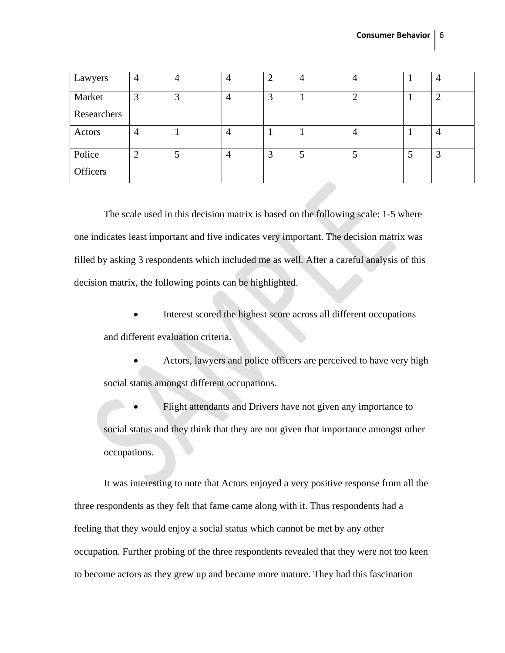| Lawyers     | 4      |   | 4 | $\overline{2}$ | 4              | 4              |
|-------------|--------|---|---|----------------|----------------|----------------|
| Market      | 3      | 3 | 4 | 3              | ി              | $\overline{2}$ |
| Researchers |        |   |   |                |                |                |
| Actors      | 4      |   | 4 |                | $\overline{4}$ | 4              |
| Police      | ⌒<br>↩ |   | 4 | 3              | ر.             | 3              |
| Officers    |        |   |   |                |                |                |

The scale used in this decision matrix is based on the following scale: 1-5 where one indicates least important and five indicates very important. The decision matrix was filled by asking 3 respondents which included me as well. After a careful analysis of this decision matrix, the following points can be highlighted.

• Interest scored the highest score across all different occupations and different evaluation criteria.

• Actors, lawyers and police officers are perceived to have very high social status amongst different occupations.

Flight attendants and Drivers have not given any importance to social status and they think that they are not given that importance amongst other occupations.

It was interesting to note that Actors enjoyed a very positive response from all the three respondents as they felt that fame came along with it. Thus respondents had a feeling that they would enjoy a social status which cannot be met by any other occupation. Further probing of the three respondents revealed that they were not too keen to become actors as they grew up and became more mature. They had this fascination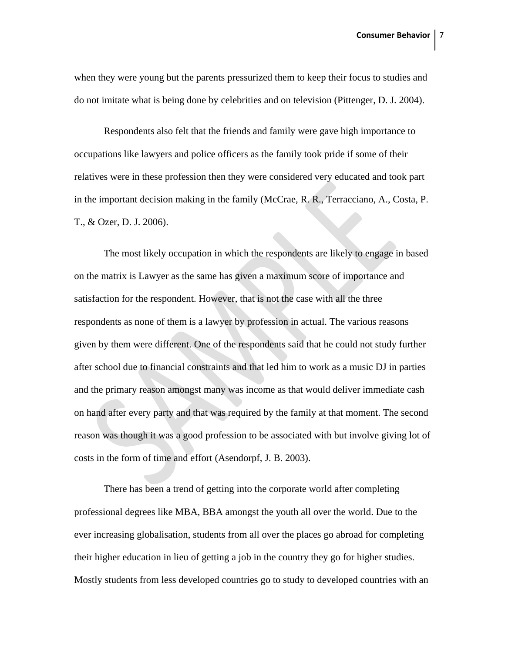when they were young but the parents pressurized them to keep their focus to studies and do not imitate what is being done by celebrities and on television (Pittenger, D. J. 2004).

Respondents also felt that the friends and family were gave high importance to occupations like lawyers and police officers as the family took pride if some of their relatives were in these profession then they were considered very educated and took part in the important decision making in the family (McCrae, R. R., Terracciano, A., Costa, P. T., & Ozer, D. J. 2006).

The most likely occupation in which the respondents are likely to engage in based on the matrix is Lawyer as the same has given a maximum score of importance and satisfaction for the respondent. However, that is not the case with all the three respondents as none of them is a lawyer by profession in actual. The various reasons given by them were different. One of the respondents said that he could not study further after school due to financial constraints and that led him to work as a music DJ in parties and the primary reason amongst many was income as that would deliver immediate cash on hand after every party and that was required by the family at that moment. The second reason was though it was a good profession to be associated with but involve giving lot of costs in the form of time and effort (Asendorpf, J. B. 2003).

There has been a trend of getting into the corporate world after completing professional degrees like MBA, BBA amongst the youth all over the world. Due to the ever increasing globalisation, students from all over the places go abroad for completing their higher education in lieu of getting a job in the country they go for higher studies. Mostly students from less developed countries go to study to developed countries with an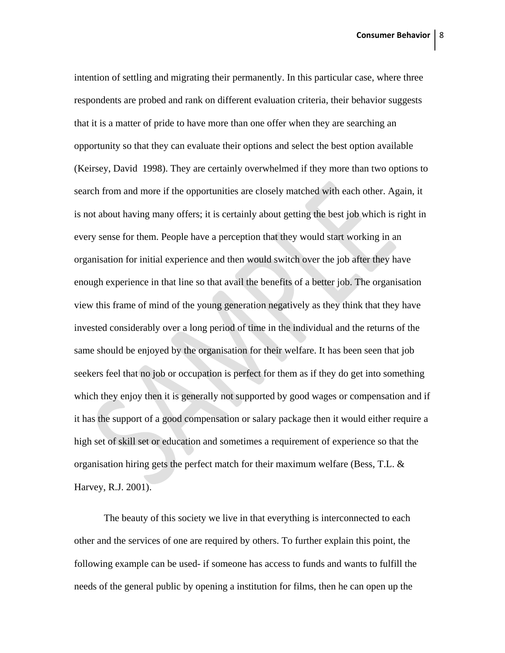intention of settling and migrating their permanently. In this particular case, where three respondents are probed and rank on different evaluation criteria, their behavior suggests that it is a matter of pride to have more than one offer when they are searching an opportunity so that they can evaluate their options and select the best option available (Keirsey, David 1998). They are certainly overwhelmed if they more than two options to search from and more if the opportunities are closely matched with each other. Again, it is not about having many offers; it is certainly about getting the best job which is right in every sense for them. People have a perception that they would start working in an organisation for initial experience and then would switch over the job after they have enough experience in that line so that avail the benefits of a better job. The organisation view this frame of mind of the young generation negatively as they think that they have invested considerably over a long period of time in the individual and the returns of the same should be enjoyed by the organisation for their welfare. It has been seen that job seekers feel that no job or occupation is perfect for them as if they do get into something which they enjoy then it is generally not supported by good wages or compensation and if it has the support of a good compensation or salary package then it would either require a high set of skill set or education and sometimes a requirement of experience so that the organisation hiring gets the perfect match for their maximum welfare (Bess, T.L.  $\&$ Harvey, R.J. 2001).

The beauty of this society we live in that everything is interconnected to each other and the services of one are required by others. To further explain this point, the following example can be used- if someone has access to funds and wants to fulfill the needs of the general public by opening a institution for films, then he can open up the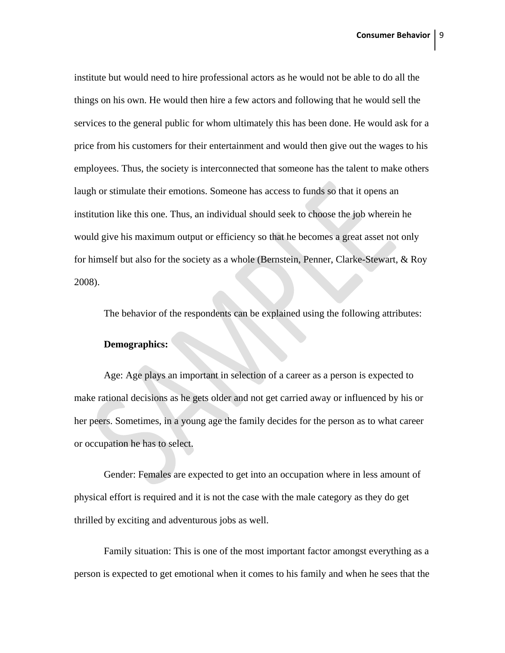institute but would need to hire professional actors as he would not be able to do all the things on his own. He would then hire a few actors and following that he would sell the services to the general public for whom ultimately this has been done. He would ask for a price from his customers for their entertainment and would then give out the wages to his employees. Thus, the society is interconnected that someone has the talent to make others laugh or stimulate their emotions. Someone has access to funds so that it opens an institution like this one. Thus, an individual should seek to choose the job wherein he would give his maximum output or efficiency so that he becomes a great asset not only for himself but also for the society as a whole (Bernstein, Penner, Clarke-Stewart, & Roy 2008).

The behavior of the respondents can be explained using the following attributes:

#### **Demographics:**

Age: Age plays an important in selection of a career as a person is expected to make rational decisions as he gets older and not get carried away or influenced by his or her peers. Sometimes, in a young age the family decides for the person as to what career or occupation he has to select.

Gender: Females are expected to get into an occupation where in less amount of physical effort is required and it is not the case with the male category as they do get thrilled by exciting and adventurous jobs as well.

Family situation: This is one of the most important factor amongst everything as a person is expected to get emotional when it comes to his family and when he sees that the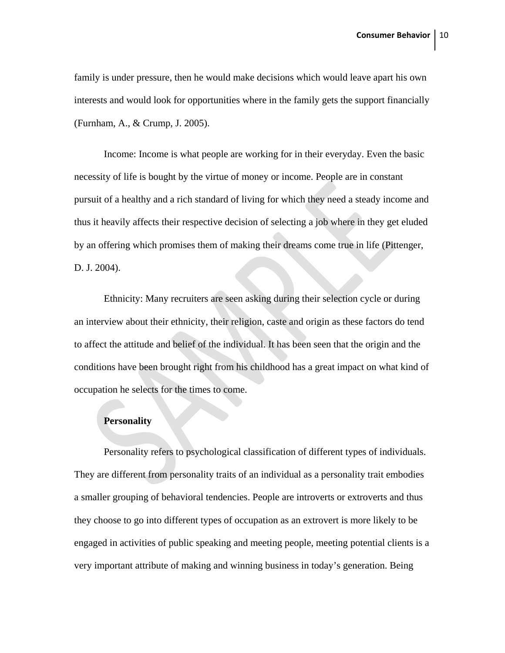family is under pressure, then he would make decisions which would leave apart his own interests and would look for opportunities where in the family gets the support financially (Furnham, A., & Crump, J. 2005).

Income: Income is what people are working for in their everyday. Even the basic necessity of life is bought by the virtue of money or income. People are in constant pursuit of a healthy and a rich standard of living for which they need a steady income and thus it heavily affects their respective decision of selecting a job where in they get eluded by an offering which promises them of making their dreams come true in life (Pittenger, D. J. 2004).

Ethnicity: Many recruiters are seen asking during their selection cycle or during an interview about their ethnicity, their religion, caste and origin as these factors do tend to affect the attitude and belief of the individual. It has been seen that the origin and the conditions have been brought right from his childhood has a great impact on what kind of occupation he selects for the times to come.

#### **Personality**

Personality refers to psychological classification of different types of individuals. They are different from personality traits of an individual as a personality trait embodies a smaller grouping of behavioral tendencies. People are introverts or extroverts and thus they choose to go into different types of occupation as an extrovert is more likely to be engaged in activities of public speaking and meeting people, meeting potential clients is a very important attribute of making and winning business in today's generation. Being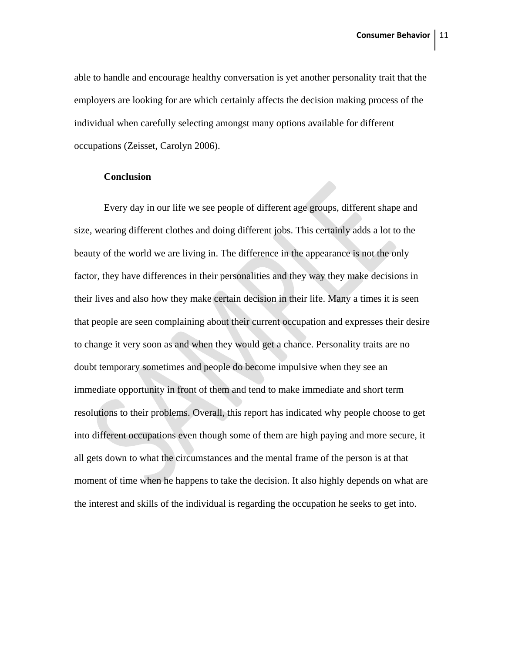able to handle and encourage healthy conversation is yet another personality trait that the employers are looking for are which certainly affects the decision making process of the individual when carefully selecting amongst many options available for different occupations (Zeisset, Carolyn 2006).

### **Conclusion**

Every day in our life we see people of different age groups, different shape and size, wearing different clothes and doing different jobs. This certainly adds a lot to the beauty of the world we are living in. The difference in the appearance is not the only factor, they have differences in their personalities and they way they make decisions in their lives and also how they make certain decision in their life. Many a times it is seen that people are seen complaining about their current occupation and expresses their desire to change it very soon as and when they would get a chance. Personality traits are no doubt temporary sometimes and people do become impulsive when they see an immediate opportunity in front of them and tend to make immediate and short term resolutions to their problems. Overall, this report has indicated why people choose to get into different occupations even though some of them are high paying and more secure, it all gets down to what the circumstances and the mental frame of the person is at that moment of time when he happens to take the decision. It also highly depends on what are the interest and skills of the individual is regarding the occupation he seeks to get into.